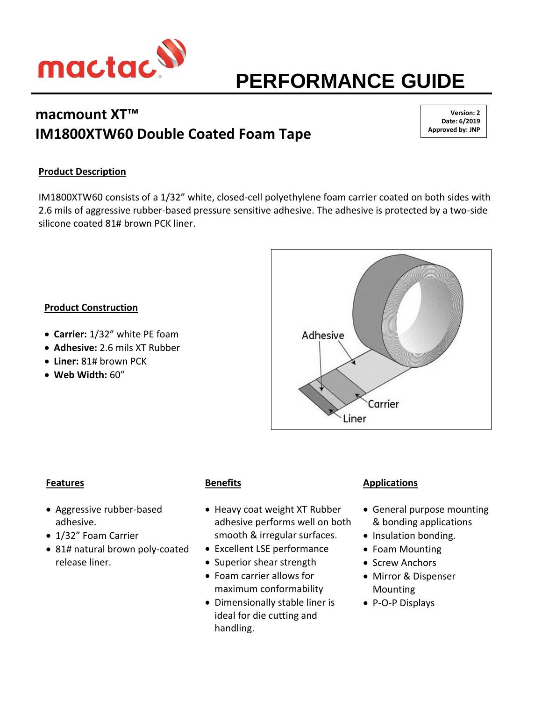

# **PERFORMANCE GUIDE**

## **macmount XT™ IM1800XTW60 Double Coated Foam Tape**

**Version: 2 Date: 6/2019 Approved by: JNP**

## **Product Description**

IM1800XTW60 consists of a 1/32" white, closed-cell polyethylene foam carrier coated on both sides with 2.6 mils of aggressive rubber-based pressure sensitive adhesive. The adhesive is protected by a two-side silicone coated 81# brown PCK liner.

### **Product Construction**

- **Carrier:** 1/32" white PE foam
- **Adhesive:** 2.6 mils XT Rubber
- **Liner:** 81# brown PCK
- **Web Width:** 60"



#### **Features**

- Aggressive rubber-based adhesive.
- 1/32" Foam Carrier
- 81# natural brown poly-coated release liner.

## **Benefits**

- Heavy coat weight XT Rubber adhesive performs well on both smooth & irregular surfaces.
- Excellent LSE performance
- Superior shear strength
- Foam carrier allows for maximum conformability
- Dimensionally stable liner is ideal for die cutting and handling.

## **Applications**

- General purpose mounting & bonding applications
- Insulation bonding.
- Foam Mounting
- Screw Anchors
- Mirror & Dispenser **Mounting**
- P-O-P Displays